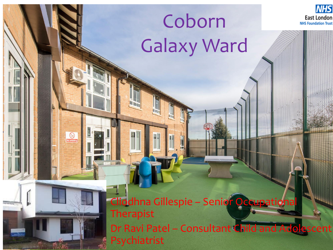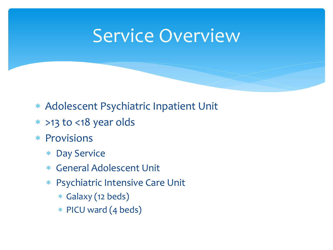### Service Overview

- Adolescent Psychiatric Inpatient Unit
- >13 to <18 year olds
- \* Provisions
	- Day Service
	- General Adolescent Unit
	- Psychiatric Intensive Care Unit
		- Galaxy (12 beds)
		- PICU ward (4 beds)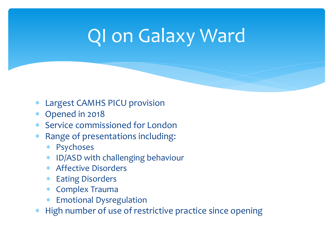## QI on Galaxy Ward

- Largest CAMHS PICU provision
- Opened in 2018
- Service commissioned for London
- Range of presentations including:
	- Psychoses
	- ID/ASD with challenging behaviour
	- Affective Disorders
	- Eating Disorders
	- Complex Trauma
	- Emotional Dysregulation
- \* High number of use of restrictive practice since opening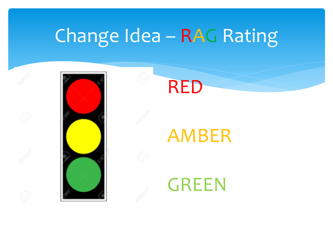## Change Idea – RAG Rating





### AMBER

GREEN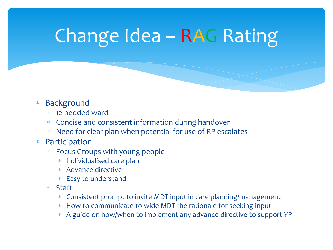## Change Idea – RAG Rating

#### Background

- 12 bedded ward
- Concise and consistent information during handover
- Need for clear plan when potential for use of RP escalates
- Participation
	- Focus Groups with young people
		- \* Individualised care plan
		- Advance directive
		- Easy to understand
	- Staff
		- Consistent prompt to invite MDT input in care planning/management
		- How to communicate to wide MDT the rationale for seeking input
		- A guide on how/when to implement any advance directive to support YP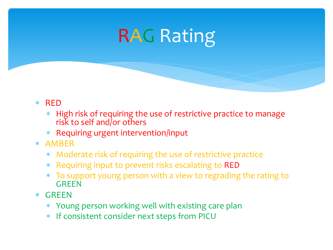## RAG Rating

- $*$  RFD
	- High risk of requiring the use of restrictive practice to manage risk to self and/or others
	- Requiring urgent intervention/input
- AMBER
	- Moderate risk of requiring the use of restrictive practice
	- Requiring input to prevent risks escalating to RED
	- To support young person with a view to regrading the rating to **GREEN**
- GREEN
	- Young person working well with existing care plan
	- \* If consistent consider next steps from PICU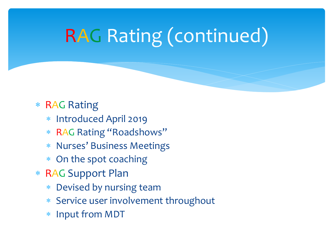## RAG Rating (continued)

### RAG Rating

- Introduced April 2019
- RAG Rating "Roadshows"
- Nurses' Business Meetings
- On the spot coaching
- RAG Support Plan
	- Devised by nursing team
	- Service user involvement throughout
	- Input from MDT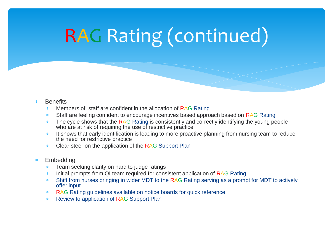# RAG Rating (continued)

#### **Benefits**

- Members of staff are confident in the allocation of RAG Rating
- \* Staff are feeling confident to encourage incentives based approach based on RAG Rating
- The cycle shows that the RAG Rating is consistently and correctly identifying the young people who are at risk of requiring the use of restrictive practice
- \* It shows that early identification is leading to more proactive planning from nursing team to reduce the need for restrictive practice
- \* Clear steer on the application of the RAG Support Plan
- Embedding
	- **EXEC** Team seeking clarity on hard to judge ratings
	- \* Initial prompts from QI team required for consistent application of RAG Rating
	- Shift from nurses bringing in wider MDT to the RAG Rating serving as a prompt for MDT to actively offer input
	- RAG Rating guidelines available on notice boards for quick reference
	- \* Review to application of RAG Support Plan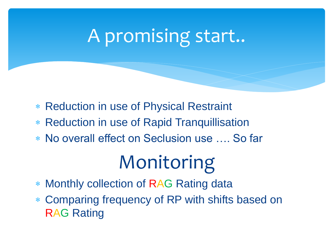## A promising start..

- Reduction in use of Physical Restraint
- Reduction in use of Rapid Tranquillisation
- No overall effect on Seclusion use …. So far

## Monitoring

- Monthly collection of RAG Rating data
- Comparing frequency of RP with shifts based on RAG Rating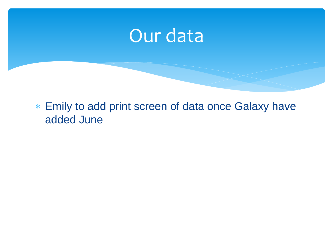## Our data

 Emily to add print screen of data once Galaxy have added June